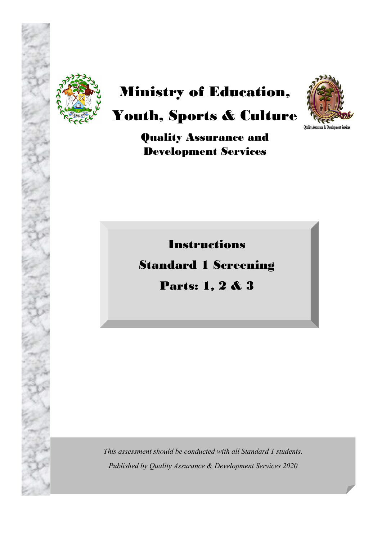

# Ministry of Education,



## Youth, Sports & Culture

Quality Assurance and Development Services

Instructions

## Standard 1 Screening

Parts: 1, 2 & 3

*This assessment should be conducted with all Standard 1 students. Published by Quality Assurance & Development Services 2020*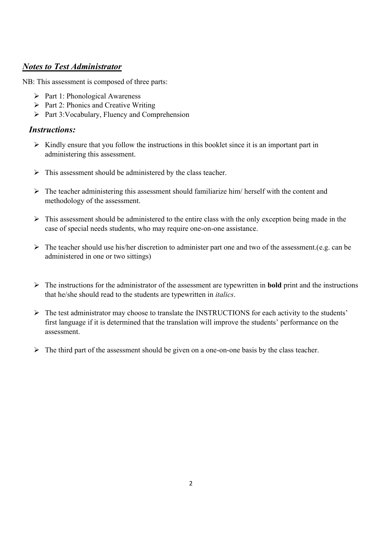### *Notes to Test Administrator*

NB: This assessment is composed of three parts:

- $\triangleright$  Part 1: Phonological Awareness
- $\triangleright$  Part 2: Phonics and Creative Writing
- $\triangleright$  Part 3: Vocabulary, Fluency and Comprehension

### *Instructions:*

- $\triangleright$  Kindly ensure that you follow the instructions in this booklet since it is an important part in administering this assessment.
- $\triangleright$  This assessment should be administered by the class teacher.
- $\triangleright$  The teacher administering this assessment should familiarize him/ herself with the content and methodology of the assessment.
- $\triangleright$  This assessment should be administered to the entire class with the only exception being made in the case of special needs students, who may require one-on-one assistance.
- $\triangleright$  The teacher should use his/her discretion to administer part one and two of the assessment.(e.g. can be administered in one or two sittings)
- The instructions for the administrator of the assessment are typewritten in **bold** print and the instructions that he/she should read to the students are typewritten in *italics*.
- $\triangleright$  The test administrator may choose to translate the INSTRUCTIONS for each activity to the students' first language if it is determined that the translation will improve the students' performance on the assessment.
- $\triangleright$  The third part of the assessment should be given on a one-on-one basis by the class teacher.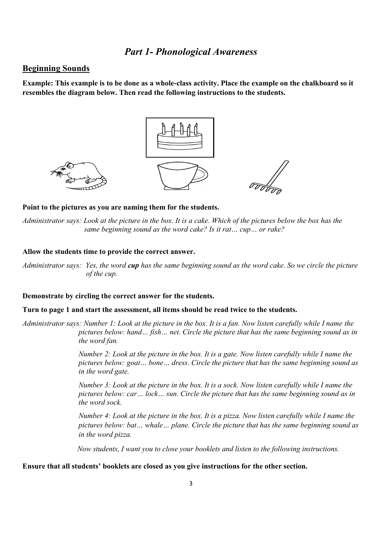### *Part 1- Phonological Awareness*

### **Beginning Sounds**

**Example: This example is to be done as a whole-class activity. Place the example on the chalkboard so it resembles the diagram below. Then read the following instructions to the students.** 



### **Point to the pictures as you are naming them for the students.**

*Administrator says: Look at the picture in the box. It is a cake. Which of the pictures below the box has the same beginning sound as the word cake? Is it rat… cup… or rake?* 

### **Allow the students time to provide the correct answer.**

*Administrator says: Yes, the word cup has the same beginning sound as the word cake. So we circle the picture of the cup.* 

#### **Demonstrate by circling the correct answer for the students.**

### **Turn to page 1 and start the assessment, all items should be read twice to the students.**

*Administrator says: Number 1: Look at the picture in the box. It is a fan. Now listen carefully while I name the pictures below: hand… fish… net. Circle the picture that has the same beginning sound as in the word fan.* 

> *Number 2: Look at the picture in the box. It is a gate. Now listen carefully while I name the pictures below: goat… bone… dress. Circle the picture that has the same beginning sound as in the word gate.*

*Number 3: Look at the picture in the box. It is a sock. Now listen carefully while I name the pictures below: car… lock… sun. Circle the picture that has the same beginning sound as in the word sock.*

 *Number 4: Look at the picture in the box. It is a pizza. Now listen carefully while I name the pictures below: bat… whale… plane. Circle the picture that has the same beginning sound as in the word pizza.*

*Now students, I want you to close your booklets and listen to the following instructions.*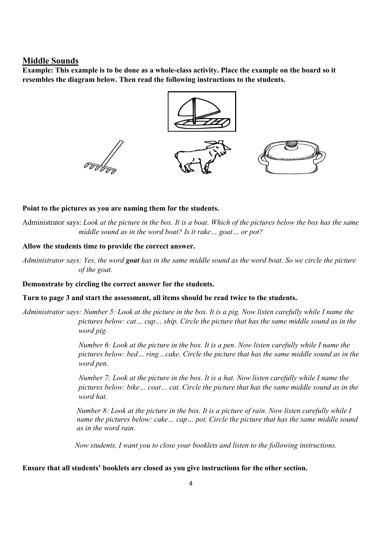### **Middle Sounds**

**Example: This example is to be done as a whole-class activity. Place the example on the board so it resembles the diagram below. Then read the following instructions to the students.** 



### **Point to the pictures as you are naming them for the students.**

Administrator says: *Look at the picture in the box. It is a boat. Which of the pictures below the box has the same middle sound as in the word boat? Is it rake… goat… or pot?* 

### **Allow the students time to provide the correct answer.**

*Administrator says: Yes, the word goat has in the same middle sound as the word boat. So we circle the picture of the goat.* 

### **Demonstrate by circling the correct answer for the students.**

#### **Turn to page 3 and start the assessment, all items should be read twice to the students.**

*Administrator says: Number 5: Look at the picture in the box. It is a pig. Now listen carefully while I name the pictures below: cat… cup… ship. Circle the picture that has the same middle sound as in the word pig.*

> *Number 6: Look at the picture in the box. It is a pen. Now listen carefully while I name the pictures below: bed… ring…cake. Circle the picture that has the same middle sound as in the word pen.*

> *Number 7: Look at the picture in the box. It is a hat. Now listen carefully while I name the pictures below: bike… coat… cat. Circle the picture that has the same middle sound as in the word hat.*

> *Number 8: Look at the picture in the box. It is a picture of rain. Now listen carefully while I name the pictures below: cake… cap… pot. Circle the picture that has the same middle sound as in the word rain.*

 *Now students, I want you to close your booklets and listen to the following instructions.*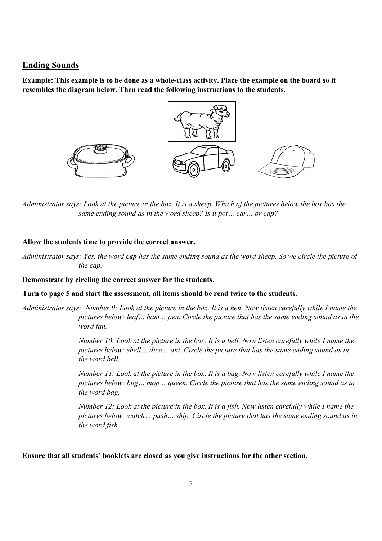### **Ending Sounds**

**Example: This example is to be done as a whole-class activity. Place the example on the board so it resembles the diagram below. Then read the following instructions to the students.** 



*Administrator says: Look at the picture in the box. It is a sheep. Which of the pictures below the box has the same ending sound as in the word sheep? Is it pot… car… or cap?* 

### **Allow the students time to provide the correct answer.**

*Administrator says: Yes, the word cap has the same ending sound as the word sheep. So we circle the picture of the cap.* 

### **Demonstrate by circling the correct answer for the students.**

### **Turn to page 5 and start the assessment, all items should be read twice to the students.**

*Administrator says: Number 9: Look at the picture in the box. It is a hen. Now listen carefully while I name the pictures below: leaf… ham… pen. Circle the picture that has the same ending sound as in the word fan.*

> *Number 10: Look at the picture in the box. It is a bell. Now listen carefully while I name the pictures below: shell… dice… ant. Circle the picture that has the same ending sound as in the word bell.*

> *Number 11: Look at the picture in the box. It is a bag. Now listen carefully while I name the pictures below: bug… mop… queen. Circle the picture that has the same ending sound as in the word bag.*

> *Number 12: Look at the picture in the box. It is a fish. Now listen carefully while I name the pictures below: watch… push… ship. Circle the picture that has the same ending sound as in the word fish.*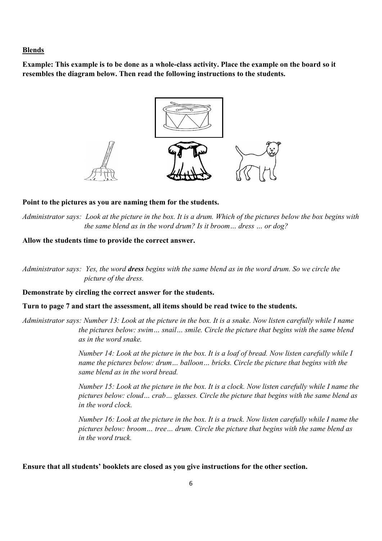#### **Blends**

**Example: This example is to be done as a whole-class activity. Place the example on the board so it resembles the diagram below. Then read the following instructions to the students.** 



#### **Point to the pictures as you are naming them for the students.**

*Administrator says: Look at the picture in the box. It is a drum. Which of the pictures below the box begins with the same blend as in the word drum? Is it broom… dress … or dog?* 

### **Allow the students time to provide the correct answer.**

*Administrator says:**Yes, the word dress begins with the same blend as in the word drum. So we circle the picture of the dress.* 

### **Demonstrate by circling the correct answer for the students.**

### **Turn to page 7 and start the assessment, all items should be read twice to the students.**

*Administrator says: Number 13: Look at the picture in the box. It is a snake. Now listen carefully while I name the pictures below: swim… snail… smile. Circle the picture that begins with the same blend as in the word snake.* 

> *Number 14: Look at the picture in the box. It is a loaf of bread. Now listen carefully while I name the pictures below: drum... balloon... bricks. Circle the picture that begins with the same blend as in the word bread.*

*Number 15: Look at the picture in the box. It is a clock. Now listen carefully while I name the pictures below: cloud… crab… glasses. Circle the picture that begins with the same blend as in the word clock.*

*Number 16: Look at the picture in the box. It is a truck. Now listen carefully while I name the pictures below: broom… tree… drum. Circle the picture that begins with the same blend as in the word truck.*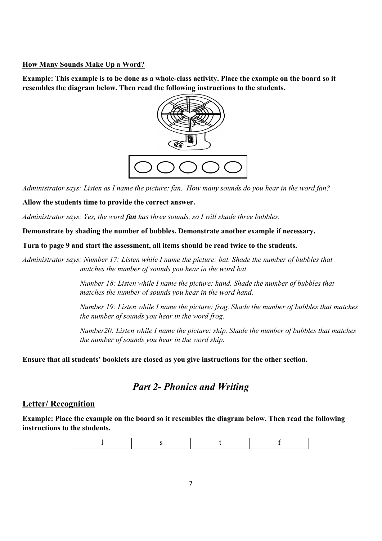### **How Many Sounds Make Up a Word?**

**Example: This example is to be done as a whole-class activity. Place the example on the board so it resembles the diagram below. Then read the following instructions to the students.** 



*Administrator says: Listen as I name the picture: fan. How many sounds do you hear in the word fan?*

### **Allow the students time to provide the correct answer.**

*Administrator says: Yes, the word fan has three sounds, so I will shade three bubbles.* 

**Demonstrate by shading the number of bubbles. Demonstrate another example if necessary.** 

**Turn to page 9 and start the assessment, all items should be read twice to the students.**

*Administrator says: Number 17: Listen while I name the picture: bat. Shade the number of bubbles that matches the number of sounds you hear in the word bat.* 

> *Number 18: Listen while I name the picture: hand. Shade the number of bubbles that matches the number of sounds you hear in the word hand.*

*Number 19: Listen while I name the picture: frog. Shade the number of bubbles that matches the number of sounds you hear in the word frog.* 

*Number20: Listen while I name the picture: ship. Shade the number of bubbles that matches the number of sounds you hear in the word ship.* 

**Ensure that all students' booklets are closed as you give instructions for the other section.**

### *Part 2- Phonics and Writing*

### **Letter/ Recognition**

**Example: Place the example on the board so it resembles the diagram below. Then read the following instructions to the students.** 

l s t f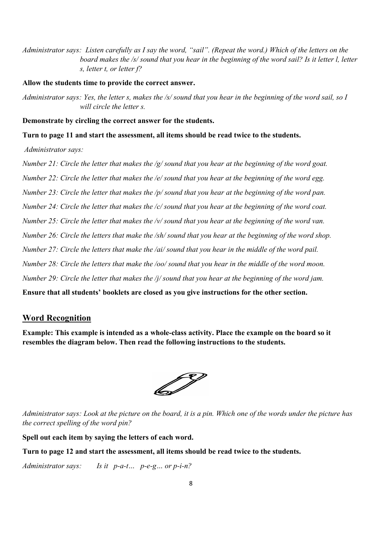*Administrator says: Listen carefully as I say the word, "sail". (Repeat the word.) Which of the letters on the board makes the /s/ sound that you hear in the beginning of the word sail? Is it letter l, letter s, letter t, or letter f?* 

**Allow the students time to provide the correct answer.** 

*Administrator says: Yes, the letter s, makes the /s/ sound that you hear in the beginning of the word sail, so I will circle the letter s.*

**Demonstrate by circling the correct answer for the students.**

**Turn to page 11 and start the assessment, all items should be read twice to the students.**

*Administrator says:* 

*Number 21: Circle the letter that makes the /g/ sound that you hear at the beginning of the word goat. Number 22: Circle the letter that makes the /e/ sound that you hear at the beginning of the word egg. Number 23: Circle the letter that makes the /p/ sound that you hear at the beginning of the word pan. Number 24: Circle the letter that makes the /c/ sound that you hear at the beginning of the word coat. Number 25: Circle the letter that makes the /v/ sound that you hear at the beginning of the word van. Number 26: Circle the letters that make the /sh/ sound that you hear at the beginning of the word shop. Number 27: Circle the letters that make the /ai/ sound that you hear in the middle of the word pail. Number 28: Circle the letters that make the /oo/ sound that you hear in the middle of the word moon. Number 29: Circle the letter that makes the /j/ sound that you hear at the beginning of the word jam.*  **Ensure that all students' booklets are closed as you give instructions for the other section.**

### **Word Recognition**

**Example: This example is intended as a whole-class activity. Place the example on the board so it resembles the diagram below. Then read the following instructions to the students.** 

67

*Administrator says: Look at the picture on the board, it is a pin. Which one of the words under the picture has the correct spelling of the word pin?* 

**Spell out each item by saying the letters of each word.**

**Turn to page 12 and start the assessment, all items should be read twice to the students.** 

*Administrator says: Is it p-a-t… p-e-g… or p-i-n?*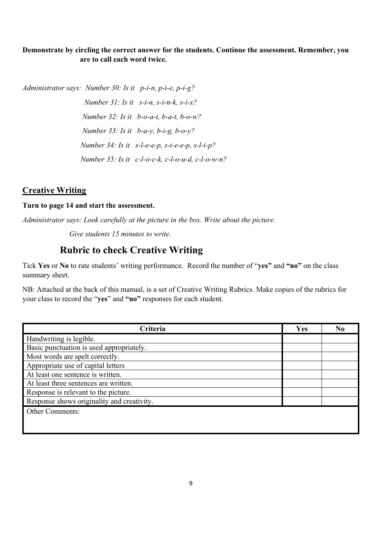### **Demonstrate by circling the correct answer for the students. Continue the assessment. Remember, you are to call each word twice.**

*Administrator says: Number 30: Is it p-i-n, p-i-e, p-i-g?*

 *Number 31: Is it s-i-n, s-i-n-k, s-i-x? Number 32: Is it b-o-a-t, b-a-t, b-o-w? Number 33: Is it b-a-y, b-i-g, b-o-y? Number 34: Is it s-l-e-e-p, s-t-e-e-p, s-l-i-p? Number 35: Is it c-l-o-c-k, c-l-o-u-d, c-l-o-w-n?*

### **Creative Writing**

### **Turn to page 14 and start the assessment.**

*Administrator says: Look carefully at the picture in the box. Write about the picture.*

 *Give students 15 minutes to write.*

### **Rubric to check Creative Writing**

Tick **Yes** or **No** to rate students' writing performance. Record the number of "**yes"** and **"no"** on the class summary sheet.

NB: Attached at the back of this manual, is a set of Creative Writing Rubrics. Make copies of the rubrics for your class to record the "**yes**" and **"no"** responses for each student.

| Criteria                                   | Yes | N <sub>0</sub> |
|--------------------------------------------|-----|----------------|
| Handwriting is legible.                    |     |                |
| Basic punctuation is used appropriately.   |     |                |
| Most words are spelt correctly.            |     |                |
| Appropriate use of capital letters         |     |                |
| At least one sentence is written.          |     |                |
| At least three sentences are written.      |     |                |
| Response is relevant to the picture.       |     |                |
| Response shows originality and creativity. |     |                |
| <b>Other Comments:</b>                     |     |                |
|                                            |     |                |
|                                            |     |                |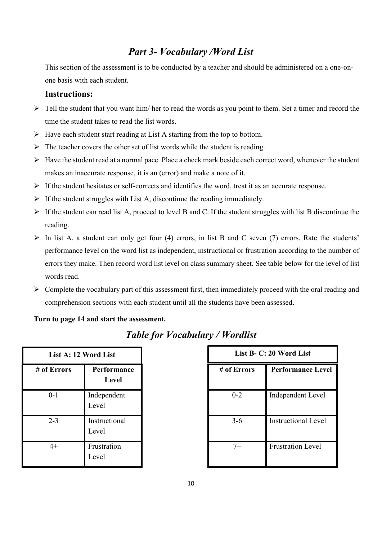### *Part 3- Vocabulary /Word List*

This section of the assessment is to be conducted by a teacher and should be administered on a one-onone basis with each student.

### **Instructions:**

- $\triangleright$  Tell the student that you want him/ her to read the words as you point to them. Set a timer and record the time the student takes to read the list words.
- $\triangleright$  Have each student start reading at List A starting from the top to bottom.
- $\triangleright$  The teacher covers the other set of list words while the student is reading.
- $\triangleright$  Have the student read at a normal pace. Place a check mark beside each correct word, whenever the student makes an inaccurate response, it is an (error) and make a note of it.
- $\triangleright$  If the student hesitates or self-corrects and identifies the word, treat it as an accurate response.
- $\triangleright$  If the student struggles with List A, discontinue the reading immediately.
- $\triangleright$  If the student can read list A, proceed to level B and C. If the student struggles with list B discontinue the reading.
- $\triangleright$  In list A, a student can only get four (4) errors, in list B and C seven (7) errors. Rate the students' performance level on the word list as independent, instructional or frustration according to the number of errors they make. Then record word list level on class summary sheet. See table below for the level of list words read.
- $\triangleright$  Complete the vocabulary part of this assessment first, then immediately proceed with the oral reading and comprehension sections with each student until all the students have been assessed.

### **Turn to page 14 and start the assessment.**

| List A: 12 Word List |                        |  |
|----------------------|------------------------|--|
| # of Errors          | Performance<br>Level   |  |
| $0 - 1$              | Independent<br>Level   |  |
| $2 - 3$              | Instructional<br>Level |  |
| 4+                   | Frustration<br>Level   |  |

### *Table for Vocabulary / Wordlist*

|               | List A: 12 Word List   | List B- C: 20 Word List |                            |
|---------------|------------------------|-------------------------|----------------------------|
| <b>Errors</b> | Performance<br>Level   | # of Errors             | <b>Performance Level</b>   |
| $0 - 1$       | Independent<br>Level   | $0 - 2$                 | Independent Level          |
| $2 - 3$       | Instructional<br>Level | $3-6$                   | <b>Instructional Level</b> |
| $4+$          | Frustration<br>Level   | $7+$                    | <b>Frustration Level</b>   |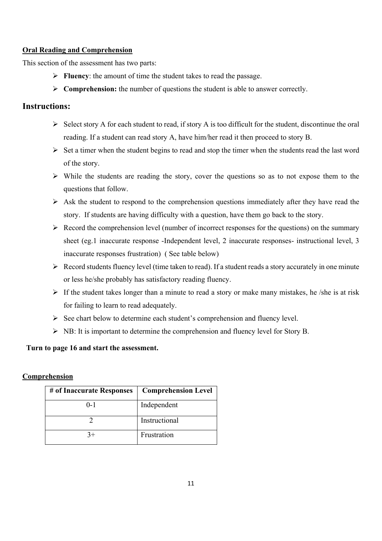### **Oral Reading and Comprehension**

This section of the assessment has two parts:

- **Fluency**: the amount of time the student takes to read the passage.
- **Comprehension:** the number of questions the student is able to answer correctly.

### **Instructions:**

- $\triangleright$  Select story A for each student to read, if story A is too difficult for the student, discontinue the oral reading. If a student can read story A, have him/her read it then proceed to story B.
- $\triangleright$  Set a timer when the student begins to read and stop the timer when the students read the last word of the story.
- $\triangleright$  While the students are reading the story, cover the questions so as to not expose them to the questions that follow.
- $\triangleright$  Ask the student to respond to the comprehension questions immediately after they have read the story. If students are having difficulty with a question, have them go back to the story.
- $\triangleright$  Record the comprehension level (number of incorrect responses for the questions) on the summary sheet (eg.1 inaccurate response -Independent level, 2 inaccurate responses- instructional level, 3 inaccurate responses frustration) ( See table below)
- $\triangleright$  Record students fluency level (time taken to read). If a student reads a story accurately in one minute or less he/she probably has satisfactory reading fluency.
- $\triangleright$  If the student takes longer than a minute to read a story or make many mistakes, he /she is at risk for failing to learn to read adequately.
- $\triangleright$  See chart below to determine each student's comprehension and fluency level.
- $\triangleright$  NB: It is important to determine the comprehension and fluency level for Story B.

### **Turn to page 16 and start the assessment.**

### **Comprehension**

| # of Inaccurate Responses | <b>Comprehension Level</b> |
|---------------------------|----------------------------|
| $0 - 1$                   | Independent                |
|                           | Instructional              |
|                           | Frustration                |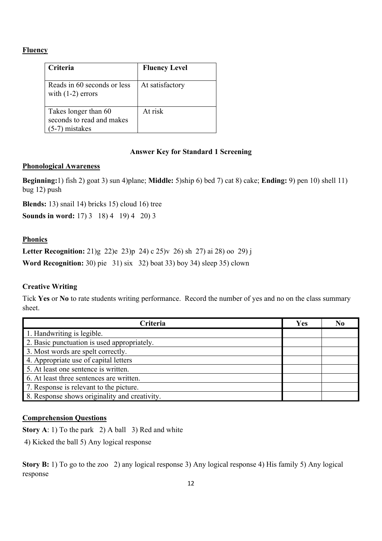### **Fluency**

| <b>Criteria</b>                                                       | <b>Fluency Level</b> |
|-----------------------------------------------------------------------|----------------------|
| Reads in 60 seconds or less<br>with $(1-2)$ errors                    | At satisfactory      |
| Takes longer than 60<br>seconds to read and makes<br>$(5-7)$ mistakes | At risk              |

### **Answer Key for Standard 1 Screening**

### **Phonological Awareness**

**Beginning:**1) fish 2) goat 3) sun 4)plane; **Middle:** 5)ship 6) bed 7) cat 8) cake; **Ending:** 9) pen 10) shell 11) bug 12) push

**Blends:** 13) snail 14) bricks 15) cloud 16) tree **Sounds in word:** 17) 3 18) 4 19) 4 20) 3

### **Phonics**

**Letter Recognition:** 21)g 22)e 23)p 24) c 25)v 26) sh 27) ai 28) oo 29) j **Word Recognition:** 30) pie 31) six 32) boat 33) boy 34) sleep 35) clown

### **Creative Writing**

Tick **Yes** or **No** to rate students writing performance. Record the number of yes and no on the class summary sheet.

| <b>Criteria</b>                               | Yes | No |
|-----------------------------------------------|-----|----|
| 1. Handwriting is legible.                    |     |    |
| 2. Basic punctuation is used appropriately.   |     |    |
| 3. Most words are spelt correctly.            |     |    |
| 4. Appropriate use of capital letters         |     |    |
| 5. At least one sentence is written.          |     |    |
| 6. At least three sentences are written.      |     |    |
| 7. Response is relevant to the picture.       |     |    |
| 8. Response shows originality and creativity. |     |    |

### **Comprehension Questions**

**Story A**: 1) To the park 2) A ball 3) Red and white

4) Kicked the ball 5) Any logical response

**Story B:** 1) To go to the zoo 2) any logical response 3) Any logical response 4) His family 5) Any logical response